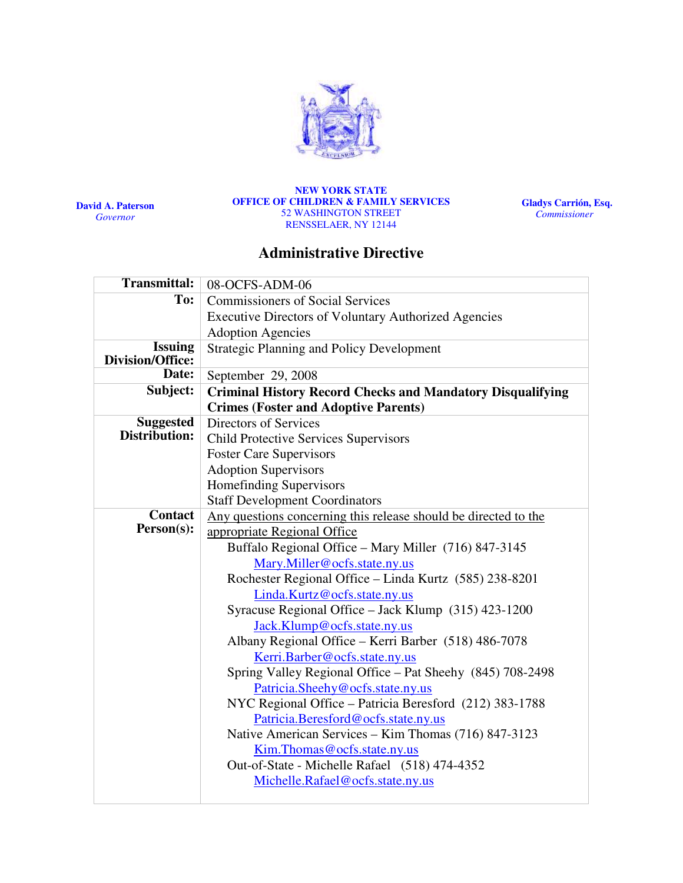

David A. Paterson Governor

#### NEW YORK STATE OFFICE OF CHILDREN & FAMILY SERVICES 52 WASHINGTON STREET RENSSELAER, NY 12144

Gladys Carrión, Esq. **Commissioner** 

# Administrative Directive

| <b>Transmittal:</b>                       | 08-OCFS-ADM-06                                                                                |  |  |  |  |  |
|-------------------------------------------|-----------------------------------------------------------------------------------------------|--|--|--|--|--|
| To:                                       | <b>Commissioners of Social Services</b>                                                       |  |  |  |  |  |
|                                           | <b>Executive Directors of Voluntary Authorized Agencies</b>                                   |  |  |  |  |  |
|                                           | <b>Adoption Agencies</b>                                                                      |  |  |  |  |  |
| <b>Issuing</b><br><b>Division/Office:</b> | <b>Strategic Planning and Policy Development</b>                                              |  |  |  |  |  |
| Date:                                     | September 29, 2008                                                                            |  |  |  |  |  |
| Subject:                                  | <b>Criminal History Record Checks and Mandatory Disqualifying</b>                             |  |  |  |  |  |
|                                           | <b>Crimes (Foster and Adoptive Parents)</b>                                                   |  |  |  |  |  |
| <b>Suggested</b>                          | Directors of Services                                                                         |  |  |  |  |  |
| Distribution:                             | <b>Child Protective Services Supervisors</b>                                                  |  |  |  |  |  |
|                                           | <b>Foster Care Supervisors</b>                                                                |  |  |  |  |  |
|                                           | <b>Adoption Supervisors</b>                                                                   |  |  |  |  |  |
|                                           | Homefinding Supervisors                                                                       |  |  |  |  |  |
|                                           | <b>Staff Development Coordinators</b>                                                         |  |  |  |  |  |
| <b>Contact</b>                            | Any questions concerning this release should be directed to the                               |  |  |  |  |  |
| Person(s):                                | appropriate Regional Office                                                                   |  |  |  |  |  |
|                                           | Buffalo Regional Office - Mary Miller (716) 847-3145                                          |  |  |  |  |  |
|                                           | Mary.Miller@ocfs.state.ny.us                                                                  |  |  |  |  |  |
|                                           | Rochester Regional Office - Linda Kurtz (585) 238-8201                                        |  |  |  |  |  |
|                                           | Linda.Kurtz@ocfs.state.ny.us                                                                  |  |  |  |  |  |
|                                           | Syracuse Regional Office - Jack Klump (315) 423-1200                                          |  |  |  |  |  |
|                                           | Jack.Klump@ocfs.state.ny.us                                                                   |  |  |  |  |  |
|                                           | Albany Regional Office – Kerri Barber (518) 486-7078                                          |  |  |  |  |  |
|                                           | Kerri.Barber@ocfs.state.ny.us                                                                 |  |  |  |  |  |
|                                           | Spring Valley Regional Office - Pat Sheehy (845) 708-2498<br>Patricia.Sheehy@ocfs.state.ny.us |  |  |  |  |  |
|                                           | NYC Regional Office - Patricia Beresford (212) 383-1788                                       |  |  |  |  |  |
|                                           | Patricia.Beresford@ocfs.state.ny.us                                                           |  |  |  |  |  |
|                                           | Native American Services - Kim Thomas (716) 847-3123                                          |  |  |  |  |  |
|                                           | Kim. Thomas @ ocfs.state.ny.us                                                                |  |  |  |  |  |
|                                           | Out-of-State - Michelle Rafael (518) 474-4352                                                 |  |  |  |  |  |
|                                           | Michelle.Rafael@ocfs.state.ny.us                                                              |  |  |  |  |  |
|                                           |                                                                                               |  |  |  |  |  |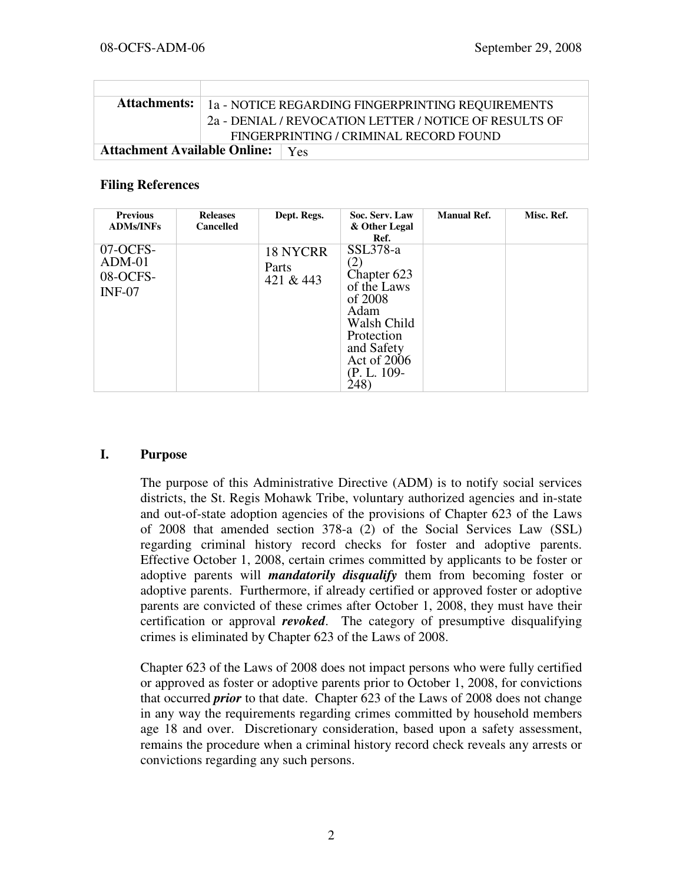|                                           | <b>Attachments:</b>   1a - NOTICE REGARDING FINGERPRINTING REQUIREMENTS |  |
|-------------------------------------------|-------------------------------------------------------------------------|--|
|                                           | 2a - DENIAL / REVOCATION LETTER / NOTICE OF RESULTS OF                  |  |
|                                           | FINGERPRINTING / CRIMINAL RECORD FOUND                                  |  |
| <b>Attachment Available Online:</b>   Yes |                                                                         |  |

#### Filing References

| <b>Previous</b><br><b>ADMs/INFs</b>          | <b>Releases</b><br><b>Cancelled</b> | Dept. Regs.                           | Soc. Serv. Law<br>& Other Legal<br>Ref.                                                                                                       | <b>Manual Ref.</b> | Misc. Ref. |
|----------------------------------------------|-------------------------------------|---------------------------------------|-----------------------------------------------------------------------------------------------------------------------------------------------|--------------------|------------|
| 07-OCFS-<br>$ADM-01$<br>08-OCFS-<br>$INF-07$ |                                     | <b>18 NYCRR</b><br>Parts<br>421 & 443 | $SSL378-a$<br>Chapter 623<br>of the Laws<br>of 2008<br>Adam<br>Walsh Child<br>Protection<br>and Safety<br>Act of 2006<br>(P. L. 109-<br>(248) |                    |            |

### I. Purpose

The purpose of this Administrative Directive (ADM) is to notify social services districts, the St. Regis Mohawk Tribe, voluntary authorized agencies and in-state and out-of-state adoption agencies of the provisions of Chapter 623 of the Laws of 2008 that amended section 378-a (2) of the Social Services Law (SSL) regarding criminal history record checks for foster and adoptive parents. Effective October 1, 2008, certain crimes committed by applicants to be foster or adoptive parents will *mandatorily disqualify* them from becoming foster or adoptive parents. Furthermore, if already certified or approved foster or adoptive parents are convicted of these crimes after October 1, 2008, they must have their certification or approval revoked. The category of presumptive disqualifying crimes is eliminated by Chapter 623 of the Laws of 2008.

Chapter 623 of the Laws of 2008 does not impact persons who were fully certified or approved as foster or adoptive parents prior to October 1, 2008, for convictions that occurred *prior* to that date. Chapter 623 of the Laws of 2008 does not change in any way the requirements regarding crimes committed by household members age 18 and over. Discretionary consideration, based upon a safety assessment, remains the procedure when a criminal history record check reveals any arrests or convictions regarding any such persons.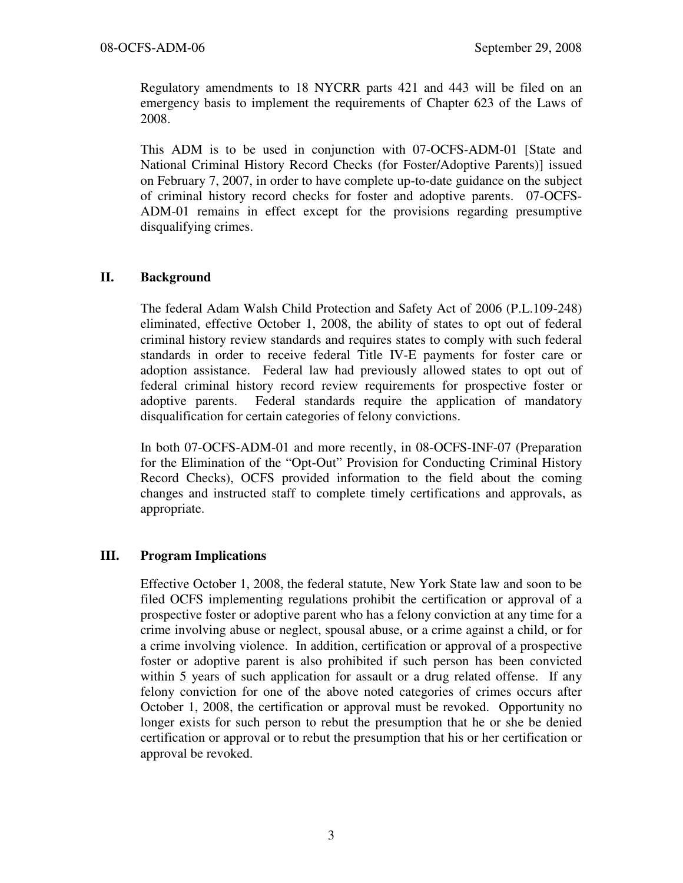Regulatory amendments to 18 NYCRR parts 421 and 443 will be filed on an emergency basis to implement the requirements of Chapter 623 of the Laws of 2008.

This ADM is to be used in conjunction with 07-OCFS-ADM-01 [State and National Criminal History Record Checks (for Foster/Adoptive Parents)] issued on February 7, 2007, in order to have complete up-to-date guidance on the subject of criminal history record checks for foster and adoptive parents. 07-OCFS-ADM-01 remains in effect except for the provisions regarding presumptive disqualifying crimes.

# II. Background

The federal Adam Walsh Child Protection and Safety Act of 2006 (P.L.109-248) eliminated, effective October 1, 2008, the ability of states to opt out of federal criminal history review standards and requires states to comply with such federal standards in order to receive federal Title IV-E payments for foster care or adoption assistance. Federal law had previously allowed states to opt out of federal criminal history record review requirements for prospective foster or adoptive parents. Federal standards require the application of mandatory disqualification for certain categories of felony convictions.

In both 07-OCFS-ADM-01 and more recently, in 08-OCFS-INF-07 (Preparation for the Elimination of the "Opt-Out" Provision for Conducting Criminal History Record Checks), OCFS provided information to the field about the coming changes and instructed staff to complete timely certifications and approvals, as appropriate.

# III. Program Implications

Effective October 1, 2008, the federal statute, New York State law and soon to be filed OCFS implementing regulations prohibit the certification or approval of a prospective foster or adoptive parent who has a felony conviction at any time for a crime involving abuse or neglect, spousal abuse, or a crime against a child, or for a crime involving violence. In addition, certification or approval of a prospective foster or adoptive parent is also prohibited if such person has been convicted within 5 years of such application for assault or a drug related offense. If any felony conviction for one of the above noted categories of crimes occurs after October 1, 2008, the certification or approval must be revoked. Opportunity no longer exists for such person to rebut the presumption that he or she be denied certification or approval or to rebut the presumption that his or her certification or approval be revoked.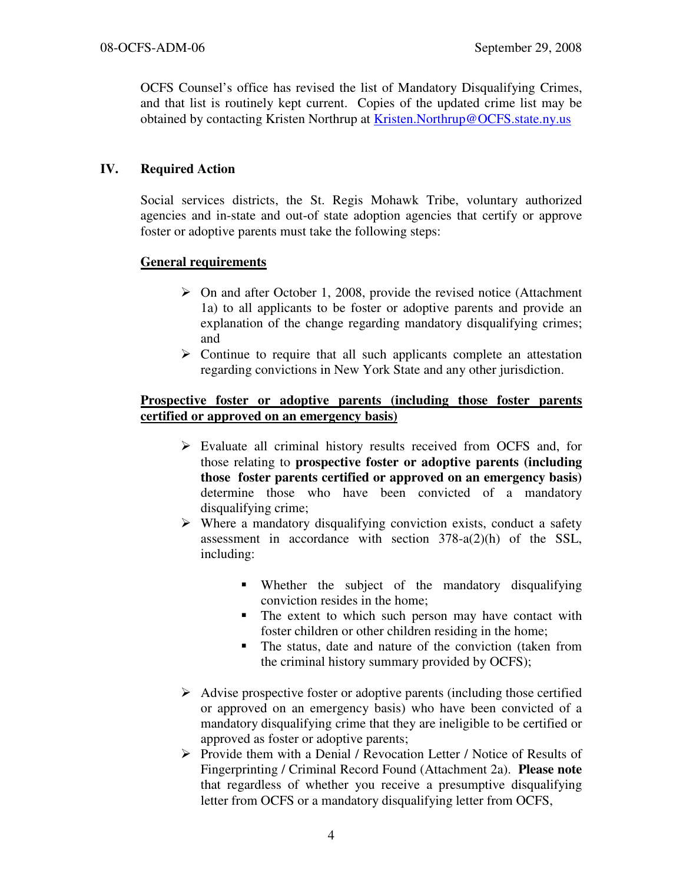OCFS Counsel's office has revised the list of Mandatory Disqualifying Crimes, and that list is routinely kept current. Copies of the updated crime list may be obtained by contacting Kristen Northrup at Kristen.Northrup@OCFS.state.ny.us

# IV. Required Action

Social services districts, the St. Regis Mohawk Tribe, voluntary authorized agencies and in-state and out-of state adoption agencies that certify or approve foster or adoptive parents must take the following steps:

### General requirements

- $\triangleright$  On and after October 1, 2008, provide the revised notice (Attachment 1a) to all applicants to be foster or adoptive parents and provide an explanation of the change regarding mandatory disqualifying crimes; and
- $\triangleright$  Continue to require that all such applicants complete an attestation regarding convictions in New York State and any other jurisdiction.

### Prospective foster or adoptive parents (including those foster parents certified or approved on an emergency basis)

- Evaluate all criminal history results received from OCFS and, for those relating to prospective foster or adoptive parents (including those foster parents certified or approved on an emergency basis) determine those who have been convicted of a mandatory disqualifying crime;
- $\triangleright$  Where a mandatory disqualifying conviction exists, conduct a safety assessment in accordance with section 378-a(2)(h) of the SSL, including:
	- Whether the subject of the mandatory disqualifying conviction resides in the home;
	- The extent to which such person may have contact with foster children or other children residing in the home;
	- - The status, date and nature of the conviction (taken from the criminal history summary provided by OCFS);
- $\triangleright$  Advise prospective foster or adoptive parents (including those certified or approved on an emergency basis) who have been convicted of a mandatory disqualifying crime that they are ineligible to be certified or approved as foster or adoptive parents;
- $\triangleright$  Provide them with a Denial / Revocation Letter / Notice of Results of Fingerprinting / Criminal Record Found (Attachment 2a). Please note that regardless of whether you receive a presumptive disqualifying letter from OCFS or a mandatory disqualifying letter from OCFS,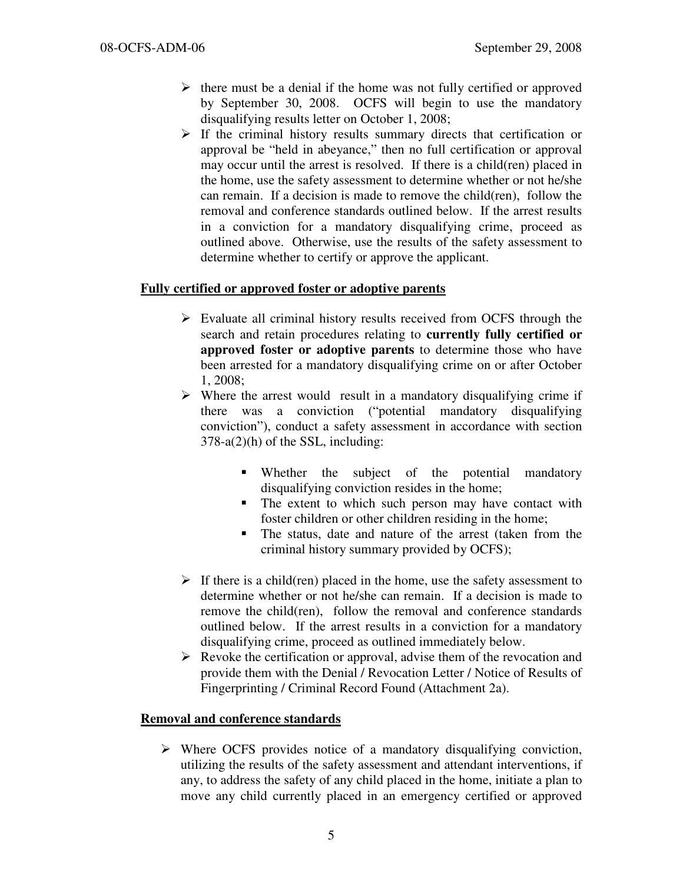- $\triangleright$  there must be a denial if the home was not fully certified or approved by September 30, 2008. OCFS will begin to use the mandatory disqualifying results letter on October 1, 2008;
- $\triangleright$  If the criminal history results summary directs that certification or approval be "held in abeyance," then no full certification or approval may occur until the arrest is resolved. If there is a child(ren) placed in the home, use the safety assessment to determine whether or not he/she can remain. If a decision is made to remove the child(ren), follow the removal and conference standards outlined below. If the arrest results in a conviction for a mandatory disqualifying crime, proceed as outlined above. Otherwise, use the results of the safety assessment to determine whether to certify or approve the applicant.

# Fully certified or approved foster or adoptive parents

- $\triangleright$  Evaluate all criminal history results received from OCFS through the search and retain procedures relating to currently fully certified or approved foster or adoptive parents to determine those who have been arrested for a mandatory disqualifying crime on or after October 1, 2008;
- $\triangleright$  Where the arrest would result in a mandatory disqualifying crime if there was a conviction ("potential mandatory disqualifying conviction"), conduct a safety assessment in accordance with section 378-a(2)(h) of the SSL, including:
	- Whether the subject of the potential mandatory disqualifying conviction resides in the home;
	- The extent to which such person may have contact with foster children or other children residing in the home;
	- - The status, date and nature of the arrest (taken from the criminal history summary provided by OCFS);
- $\triangleright$  If there is a child(ren) placed in the home, use the safety assessment to determine whether or not he/she can remain. If a decision is made to remove the child(ren), follow the removal and conference standards outlined below. If the arrest results in a conviction for a mandatory disqualifying crime, proceed as outlined immediately below.
- $\triangleright$  Revoke the certification or approval, advise them of the revocation and provide them with the Denial / Revocation Letter / Notice of Results of Fingerprinting / Criminal Record Found (Attachment 2a).

### Removal and conference standards

 $\triangleright$  Where OCFS provides notice of a mandatory disqualifying conviction, utilizing the results of the safety assessment and attendant interventions, if any, to address the safety of any child placed in the home, initiate a plan to move any child currently placed in an emergency certified or approved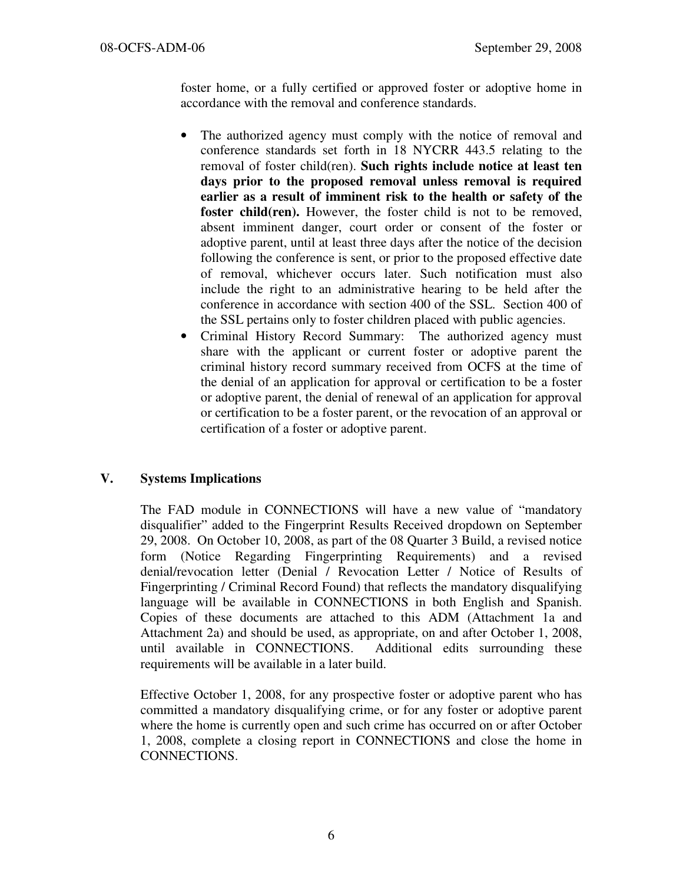foster home, or a fully certified or approved foster or adoptive home in accordance with the removal and conference standards.

- The authorized agency must comply with the notice of removal and conference standards set forth in 18 NYCRR 443.5 relating to the removal of foster child(ren). Such rights include notice at least ten days prior to the proposed removal unless removal is required earlier as a result of imminent risk to the health or safety of the foster child(ren). However, the foster child is not to be removed, absent imminent danger, court order or consent of the foster or adoptive parent, until at least three days after the notice of the decision following the conference is sent, or prior to the proposed effective date of removal, whichever occurs later. Such notification must also include the right to an administrative hearing to be held after the conference in accordance with section 400 of the SSL. Section 400 of the SSL pertains only to foster children placed with public agencies.
- Criminal History Record Summary: The authorized agency must share with the applicant or current foster or adoptive parent the criminal history record summary received from OCFS at the time of the denial of an application for approval or certification to be a foster or adoptive parent, the denial of renewal of an application for approval or certification to be a foster parent, or the revocation of an approval or certification of a foster or adoptive parent.

# V. Systems Implications

The FAD module in CONNECTIONS will have a new value of "mandatory disqualifier" added to the Fingerprint Results Received dropdown on September 29, 2008. On October 10, 2008, as part of the 08 Quarter 3 Build, a revised notice form (Notice Regarding Fingerprinting Requirements) and a revised denial/revocation letter (Denial / Revocation Letter / Notice of Results of Fingerprinting / Criminal Record Found) that reflects the mandatory disqualifying language will be available in CONNECTIONS in both English and Spanish. Copies of these documents are attached to this ADM (Attachment 1a and Attachment 2a) and should be used, as appropriate, on and after October 1, 2008, until available in CONNECTIONS. Additional edits surrounding these requirements will be available in a later build.

Effective October 1, 2008, for any prospective foster or adoptive parent who has committed a mandatory disqualifying crime, or for any foster or adoptive parent where the home is currently open and such crime has occurred on or after October 1, 2008, complete a closing report in CONNECTIONS and close the home in CONNECTIONS.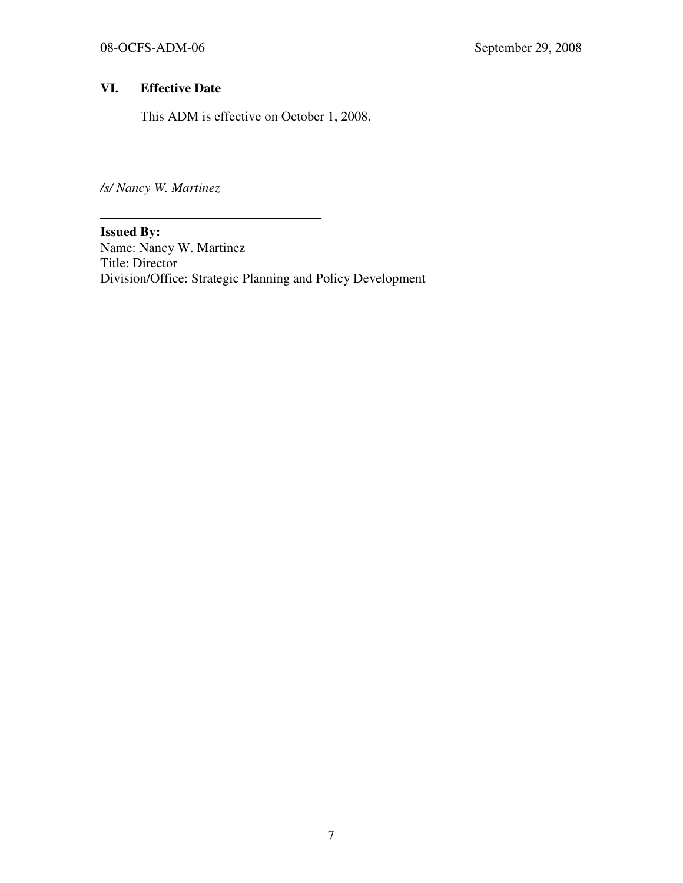# VI. Effective Date

This ADM is effective on October 1, 2008.

/s/ Nancy W. Martinez

Issued By: Name: Nancy W. Martinez Title: Director Division/Office: Strategic Planning and Policy Development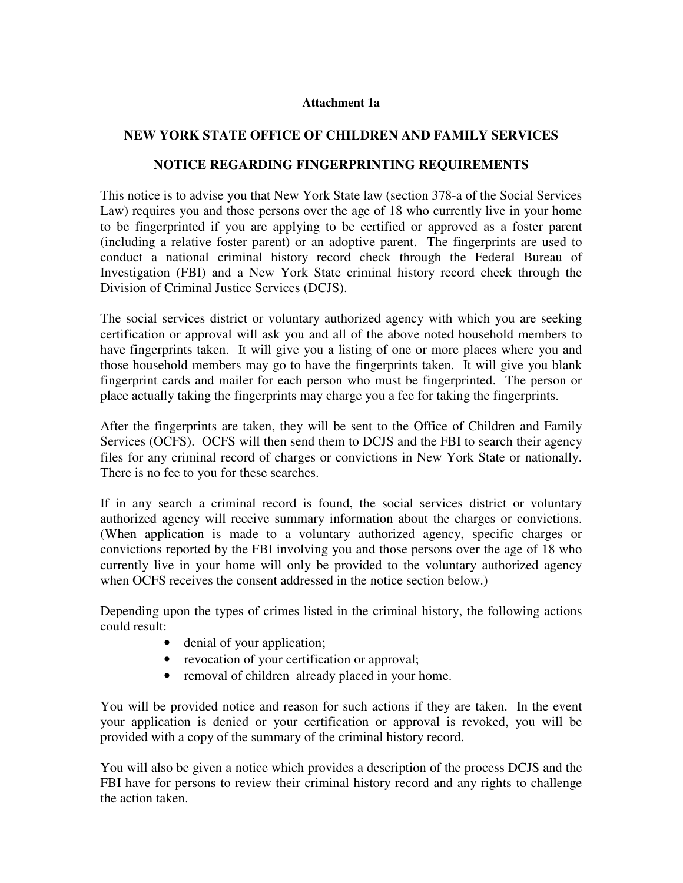#### Attachment 1a

### NEW YORK STATE OFFICE OF CHILDREN AND FAMILY SERVICES

### NOTICE REGARDING FINGERPRINTING REQUIREMENTS

This notice is to advise you that New York State law (section 378-a of the Social Services Law) requires you and those persons over the age of 18 who currently live in your home to be fingerprinted if you are applying to be certified or approved as a foster parent (including a relative foster parent) or an adoptive parent. The fingerprints are used to conduct a national criminal history record check through the Federal Bureau of Investigation (FBI) and a New York State criminal history record check through the Division of Criminal Justice Services (DCJS).

The social services district or voluntary authorized agency with which you are seeking certification or approval will ask you and all of the above noted household members to have fingerprints taken. It will give you a listing of one or more places where you and those household members may go to have the fingerprints taken. It will give you blank fingerprint cards and mailer for each person who must be fingerprinted. The person or place actually taking the fingerprints may charge you a fee for taking the fingerprints.

After the fingerprints are taken, they will be sent to the Office of Children and Family Services (OCFS). OCFS will then send them to DCJS and the FBI to search their agency files for any criminal record of charges or convictions in New York State or nationally. There is no fee to you for these searches.

If in any search a criminal record is found, the social services district or voluntary authorized agency will receive summary information about the charges or convictions. (When application is made to a voluntary authorized agency, specific charges or convictions reported by the FBI involving you and those persons over the age of 18 who currently live in your home will only be provided to the voluntary authorized agency when OCFS receives the consent addressed in the notice section below.)

Depending upon the types of crimes listed in the criminal history, the following actions could result:

- denial of your application;
- revocation of your certification or approval;
- removal of children already placed in your home.

You will be provided notice and reason for such actions if they are taken. In the event your application is denied or your certification or approval is revoked, you will be provided with a copy of the summary of the criminal history record.

You will also be given a notice which provides a description of the process DCJS and the FBI have for persons to review their criminal history record and any rights to challenge the action taken.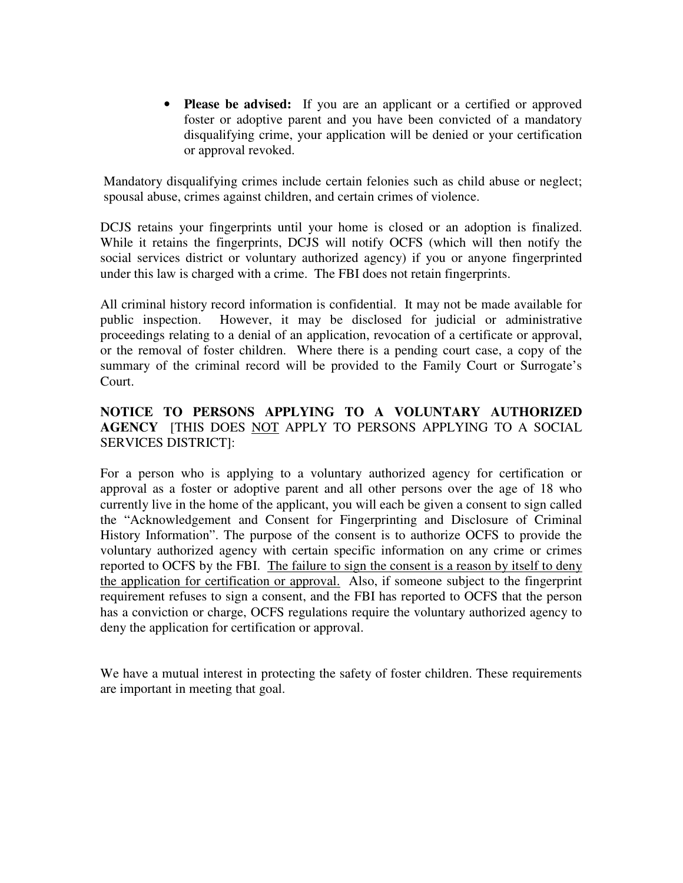• Please be advised: If you are an applicant or a certified or approved foster or adoptive parent and you have been convicted of a mandatory disqualifying crime, your application will be denied or your certification or approval revoked.

Mandatory disqualifying crimes include certain felonies such as child abuse or neglect; spousal abuse, crimes against children, and certain crimes of violence.

DCJS retains your fingerprints until your home is closed or an adoption is finalized. While it retains the fingerprints, DCJS will notify OCFS (which will then notify the social services district or voluntary authorized agency) if you or anyone fingerprinted under this law is charged with a crime. The FBI does not retain fingerprints.

All criminal history record information is confidential. It may not be made available for public inspection. However, it may be disclosed for judicial or administrative proceedings relating to a denial of an application, revocation of a certificate or approval, or the removal of foster children. Where there is a pending court case, a copy of the summary of the criminal record will be provided to the Family Court or Surrogate's Court.

# NOTICE TO PERSONS APPLYING TO A VOLUNTARY AUTHORIZED AGENCY [THIS DOES NOT APPLY TO PERSONS APPLYING TO A SOCIAL SERVICES DISTRICT]:

For a person who is applying to a voluntary authorized agency for certification or approval as a foster or adoptive parent and all other persons over the age of 18 who currently live in the home of the applicant, you will each be given a consent to sign called the "Acknowledgement and Consent for Fingerprinting and Disclosure of Criminal History Information". The purpose of the consent is to authorize OCFS to provide the voluntary authorized agency with certain specific information on any crime or crimes reported to OCFS by the FBI. The failure to sign the consent is a reason by itself to deny the application for certification or approval. Also, if someone subject to the fingerprint requirement refuses to sign a consent, and the FBI has reported to OCFS that the person has a conviction or charge, OCFS regulations require the voluntary authorized agency to deny the application for certification or approval.

We have a mutual interest in protecting the safety of foster children. These requirements are important in meeting that goal.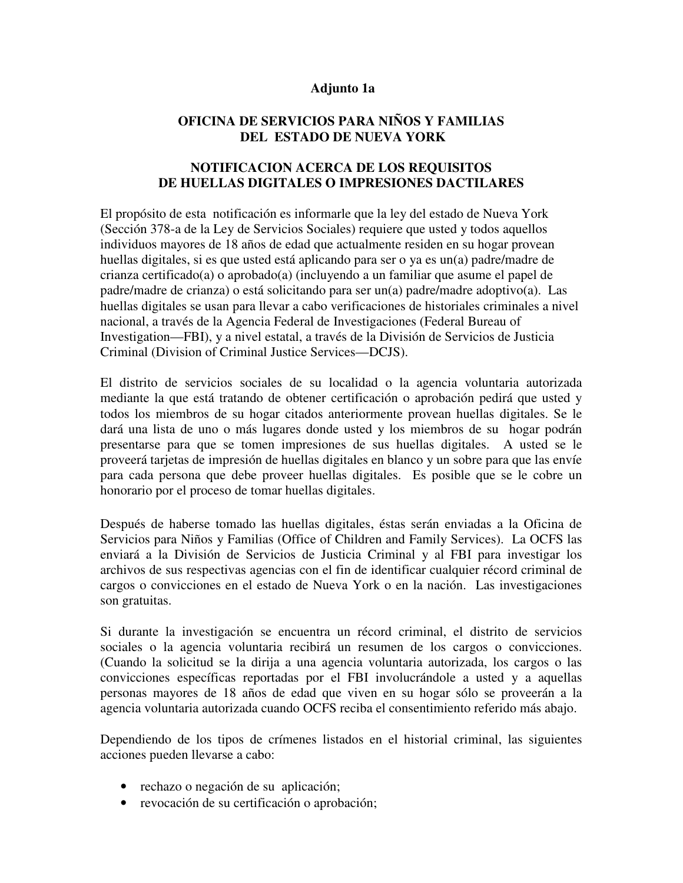#### Adjunto 1a

### OFICINA DE SERVICIOS PARA NIÑOS Y FAMILIAS DEL ESTADO DE NUEVA YORK

### NOTIFICACION ACERCA DE LOS REQUISITOS DE HUELLAS DIGITALES O IMPRESIONES DACTILARES

El propósito de esta notificación es informarle que la ley del estado de Nueva York (Sección 378-a de la Ley de Servicios Sociales) requiere que usted y todos aquellos individuos mayores de 18 años de edad que actualmente residen en su hogar provean huellas digitales, si es que usted está aplicando para ser o ya es un(a) padre/madre de crianza certificado(a) o aprobado(a) (incluyendo a un familiar que asume el papel de padre/madre de crianza) o está solicitando para ser un(a) padre/madre adoptivo(a). Las huellas digitales se usan para llevar a cabo verificaciones de historiales criminales a nivel nacional, a través de la Agencia Federal de Investigaciones (Federal Bureau of Investigation—FBI), y a nivel estatal, a través de la División de Servicios de Justicia Criminal (Division of Criminal Justice Services—DCJS).

El distrito de servicios sociales de su localidad o la agencia voluntaria autorizada mediante la que está tratando de obtener certificación o aprobación pedirá que usted y todos los miembros de su hogar citados anteriormente provean huellas digitales. Se le dará una lista de uno o más lugares donde usted y los miembros de su hogar podrán presentarse para que se tomen impresiones de sus huellas digitales. A usted se le proveerá tarjetas de impresión de huellas digitales en blanco y un sobre para que las envíe para cada persona que debe proveer huellas digitales. Es posible que se le cobre un honorario por el proceso de tomar huellas digitales.

Después de haberse tomado las huellas digitales, éstas serán enviadas a la Oficina de Servicios para Niños y Familias (Office of Children and Family Services). La OCFS las enviará a la División de Servicios de Justicia Criminal y al FBI para investigar los archivos de sus respectivas agencias con el fin de identificar cualquier récord criminal de cargos o convicciones en el estado de Nueva York o en la nación. Las investigaciones son gratuitas.

Si durante la investigación se encuentra un récord criminal, el distrito de servicios sociales o la agencia voluntaria recibirá un resumen de los cargos o convicciones. (Cuando la solicitud se la dirija a una agencia voluntaria autorizada, los cargos o las convicciones específicas reportadas por el FBI involucrándole a usted y a aquellas personas mayores de 18 años de edad que viven en su hogar sólo se proveerán a la agencia voluntaria autorizada cuando OCFS reciba el consentimiento referido más abajo.

Dependiendo de los tipos de crímenes listados en el historial criminal, las siguientes acciones pueden llevarse a cabo:

- rechazo o negación de su aplicación;
- revocación de su certificación o aprobación;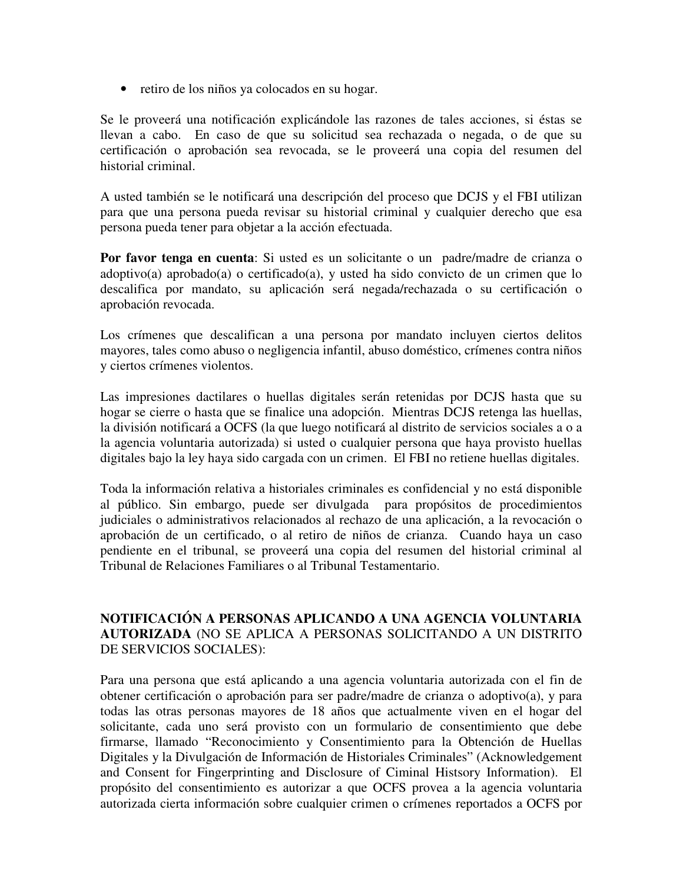• retiro de los niños ya colocados en su hogar.

Se le proveerá una notificación explicándole las razones de tales acciones, si éstas se llevan a cabo. En caso de que su solicitud sea rechazada o negada, o de que su certificación o aprobación sea revocada, se le proveerá una copia del resumen del historial criminal.

A usted también se le notificará una descripción del proceso que DCJS y el FBI utilizan para que una persona pueda revisar su historial criminal y cualquier derecho que esa persona pueda tener para objetar a la acción efectuada.

Por favor tenga en cuenta: Si usted es un solicitante o un padre/madre de crianza o adoptivo(a) aprobado(a) o certificado(a), y usted ha sido convicto de un crimen que lo descalifica por mandato, su aplicación será negada/rechazada o su certificación o aprobación revocada.

Los crímenes que descalifican a una persona por mandato incluyen ciertos delitos mayores, tales como abuso o negligencia infantil, abuso doméstico, crímenes contra niños y ciertos crímenes violentos.

Las impresiones dactilares o huellas digitales serán retenidas por DCJS hasta que su hogar se cierre o hasta que se finalice una adopción. Mientras DCJS retenga las huellas, la división notificará a OCFS (la que luego notificará al distrito de servicios sociales a o a la agencia voluntaria autorizada) si usted o cualquier persona que haya provisto huellas digitales bajo la ley haya sido cargada con un crimen. El FBI no retiene huellas digitales.

Toda la información relativa a historiales criminales es confidencial y no está disponible al público. Sin embargo, puede ser divulgada para propósitos de procedimientos judiciales o administrativos relacionados al rechazo de una aplicación, a la revocación o aprobación de un certificado, o al retiro de niños de crianza. Cuando haya un caso pendiente en el tribunal, se proveerá una copia del resumen del historial criminal al Tribunal de Relaciones Familiares o al Tribunal Testamentario.

# NOTIFICACIÓN A PERSONAS APLICANDO A UNA AGENCIA VOLUNTARIA AUTORIZADA (NO SE APLICA A PERSONAS SOLICITANDO A UN DISTRITO DE SERVICIOS SOCIALES):

Para una persona que está aplicando a una agencia voluntaria autorizada con el fin de obtener certificación o aprobación para ser padre/madre de crianza o adoptivo(a), y para todas las otras personas mayores de 18 años que actualmente viven en el hogar del solicitante, cada uno será provisto con un formulario de consentimiento que debe firmarse, llamado "Reconocimiento y Consentimiento para la Obtención de Huellas Digitales y la Divulgación de Información de Historiales Criminales" (Acknowledgement and Consent for Fingerprinting and Disclosure of Ciminal Histsory Information). El propósito del consentimiento es autorizar a que OCFS provea a la agencia voluntaria autorizada cierta información sobre cualquier crimen o crímenes reportados a OCFS por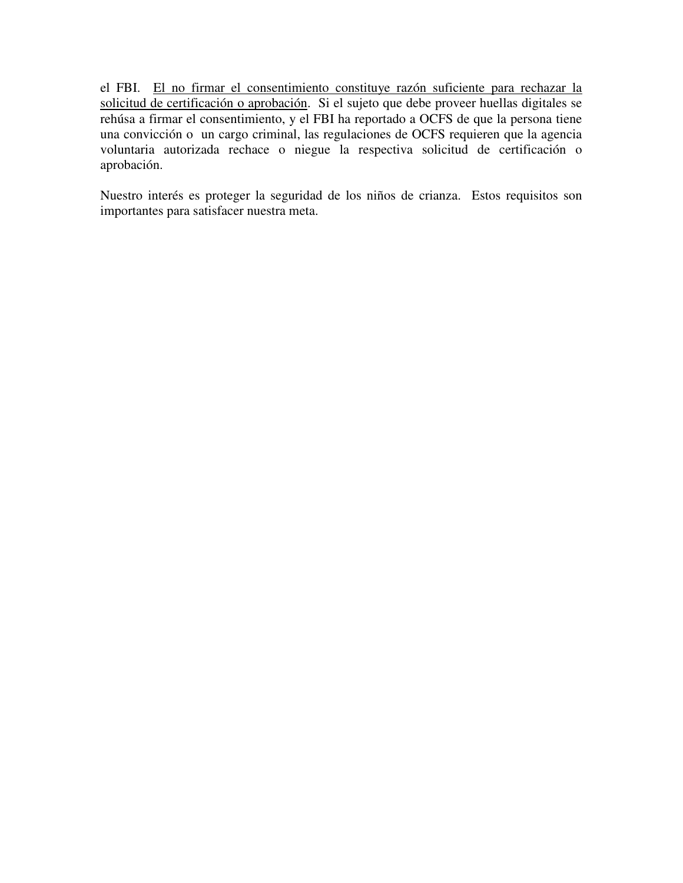el FBI. El no firmar el consentimiento constituye razón suficiente para rechazar la solicitud de certificación o aprobación. Si el sujeto que debe proveer huellas digitales se rehúsa a firmar el consentimiento, y el FBI ha reportado a OCFS de que la persona tiene una convicción o un cargo criminal, las regulaciones de OCFS requieren que la agencia voluntaria autorizada rechace o niegue la respectiva solicitud de certificación o aprobación.

Nuestro interés es proteger la seguridad de los niños de crianza. Estos requisitos son importantes para satisfacer nuestra meta.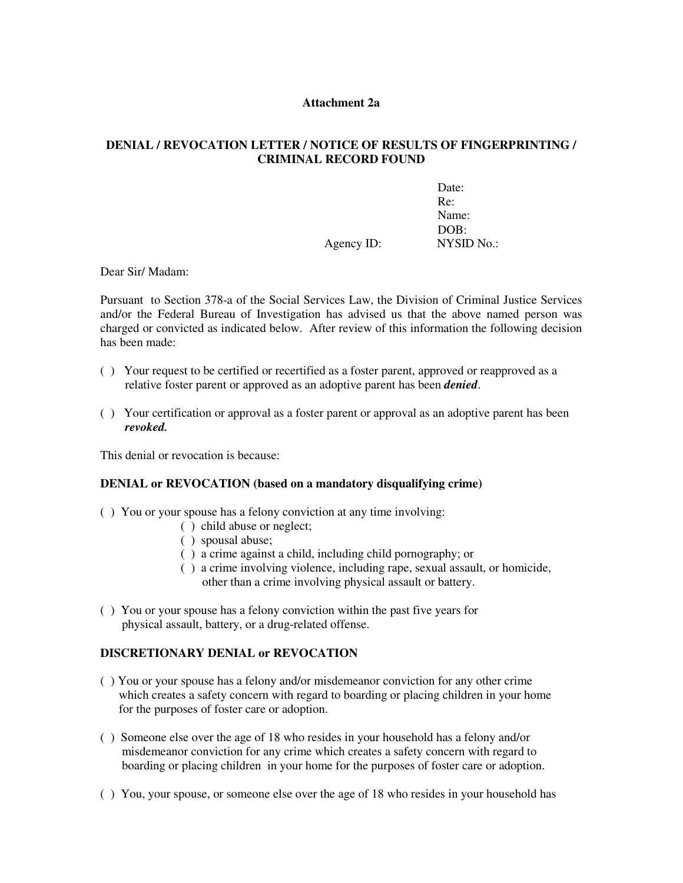#### Attachment 2a

#### DENIAL / REVOCATION LETTER / NOTICE OF RESULTS OF FINGERPRINTING / CRIMINAL RECORD FOUND

|            | Date:             |
|------------|-------------------|
|            | Re:               |
|            | Name:             |
|            | DOB:              |
| Agency ID: | <b>NYSID No.:</b> |

Dear Sir/ Madam:

Pursuant to Section 378-a of the Social Services Law, the Division of Criminal Justice Services and/or the Federal Bureau of Investigation has advised us that the above named person was charged or convicted as indicated below. After review of this information the following decision has been made:

- ( ) Your request to be certified or recertified as a foster parent, approved or reapproved as a relative foster parent or approved as an adoptive parent has been *denied*.
- ( ) Your certification or approval as a foster parent or approval as an adoptive parent has been revoked.

This denial or revocation is because:

#### DENIAL or REVOCATION (based on a mandatory disqualifying crime)

- ( ) You or your spouse has a felony conviction at any time involving:
	- ( ) child abuse or neglect;
	- ( ) spousal abuse;
	- ( ) a crime against a child, including child pornography; or
	- ( ) a crime involving violence, including rape, sexual assault, or homicide, other than a crime involving physical assault or battery.
- ( ) You or your spouse has a felony conviction within the past five years for physical assault, battery, or a drug-related offense.

### DISCRETIONARY DENIAL or REVOCATION

- ( ) You or your spouse has a felony and/or misdemeanor conviction for any other crime which creates a safety concern with regard to boarding or placing children in your home for the purposes of foster care or adoption.
- ( ) Someone else over the age of 18 who resides in your household has a felony and/or misdemeanor conviction for any crime which creates a safety concern with regard to boarding or placing children in your home for the purposes of foster care or adoption.
- ( ) You, your spouse, or someone else over the age of 18 who resides in your household has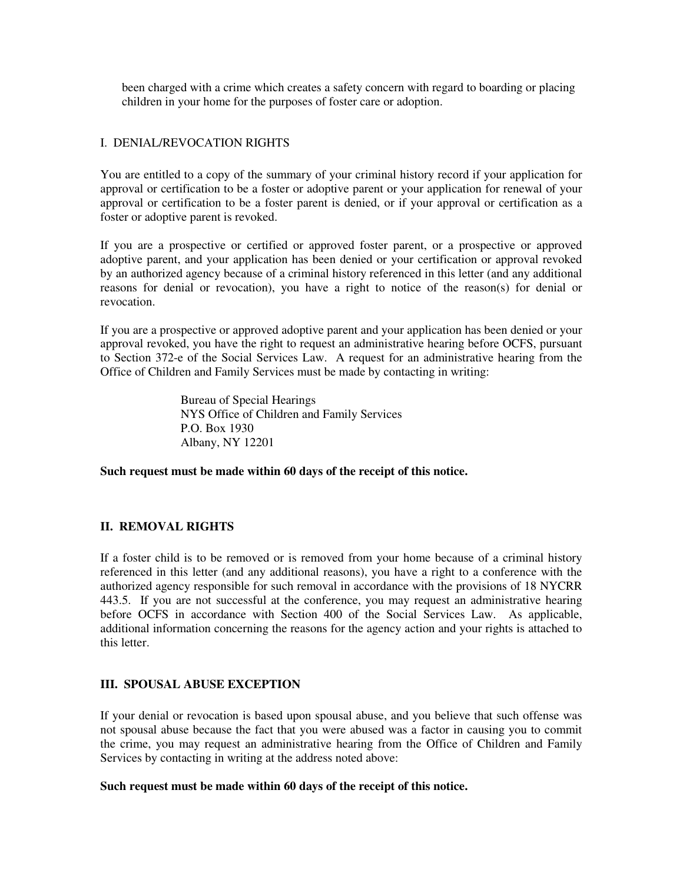been charged with a crime which creates a safety concern with regard to boarding or placing children in your home for the purposes of foster care or adoption.

#### I. DENIAL/REVOCATION RIGHTS

You are entitled to a copy of the summary of your criminal history record if your application for approval or certification to be a foster or adoptive parent or your application for renewal of your approval or certification to be a foster parent is denied, or if your approval or certification as a foster or adoptive parent is revoked.

If you are a prospective or certified or approved foster parent, or a prospective or approved adoptive parent, and your application has been denied or your certification or approval revoked by an authorized agency because of a criminal history referenced in this letter (and any additional reasons for denial or revocation), you have a right to notice of the reason(s) for denial or revocation.

If you are a prospective or approved adoptive parent and your application has been denied or your approval revoked, you have the right to request an administrative hearing before OCFS, pursuant to Section 372-e of the Social Services Law. A request for an administrative hearing from the Office of Children and Family Services must be made by contacting in writing:

> Bureau of Special Hearings NYS Office of Children and Family Services P.O. Box 1930 Albany, NY 12201

Such request must be made within 60 days of the receipt of this notice.

### II. REMOVAL RIGHTS

If a foster child is to be removed or is removed from your home because of a criminal history referenced in this letter (and any additional reasons), you have a right to a conference with the authorized agency responsible for such removal in accordance with the provisions of 18 NYCRR 443.5. If you are not successful at the conference, you may request an administrative hearing before OCFS in accordance with Section 400 of the Social Services Law. As applicable, additional information concerning the reasons for the agency action and your rights is attached to this letter.

#### III. SPOUSAL ABUSE EXCEPTION

If your denial or revocation is based upon spousal abuse, and you believe that such offense was not spousal abuse because the fact that you were abused was a factor in causing you to commit the crime, you may request an administrative hearing from the Office of Children and Family Services by contacting in writing at the address noted above:

#### Such request must be made within 60 days of the receipt of this notice.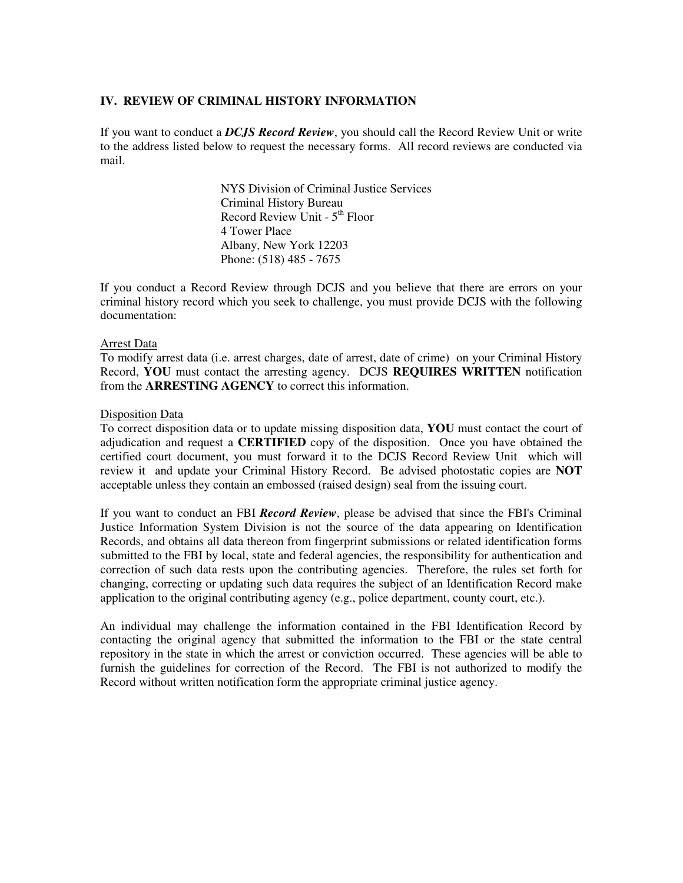#### IV. REVIEW OF CRIMINAL HISTORY INFORMATION

If you want to conduct a **DCJS Record Review**, you should call the Record Review Unit or write to the address listed below to request the necessary forms. All record reviews are conducted via mail.

> NYS Division of Criminal Justice Services Criminal History Bureau Record Review Unit - 5th Floor 4 Tower Place Albany, New York 12203 Phone: (518) 485 - 7675

If you conduct a Record Review through DCJS and you believe that there are errors on your criminal history record which you seek to challenge, you must provide DCJS with the following documentation:

#### Arrest Data

To modify arrest data (i.e. arrest charges, date of arrest, date of crime) on your Criminal History Record, YOU must contact the arresting agency. DCJS REQUIRES WRITTEN notification from the ARRESTING AGENCY to correct this information.

#### Disposition Data

To correct disposition data or to update missing disposition data, YOU must contact the court of adjudication and request a **CERTIFIED** copy of the disposition. Once you have obtained the certified court document, you must forward it to the DCJS Record Review Unit which will review it and update your Criminal History Record. Be advised photostatic copies are **NOT** acceptable unless they contain an embossed (raised design) seal from the issuing court.

If you want to conduct an FBI Record Review, please be advised that since the FBI's Criminal Justice Information System Division is not the source of the data appearing on Identification Records, and obtains all data thereon from fingerprint submissions or related identification forms submitted to the FBI by local, state and federal agencies, the responsibility for authentication and correction of such data rests upon the contributing agencies. Therefore, the rules set forth for changing, correcting or updating such data requires the subject of an Identification Record make application to the original contributing agency (e.g., police department, county court, etc.).

An individual may challenge the information contained in the FBI Identification Record by contacting the original agency that submitted the information to the FBI or the state central repository in the state in which the arrest or conviction occurred. These agencies will be able to furnish the guidelines for correction of the Record. The FBI is not authorized to modify the Record without written notification form the appropriate criminal justice agency.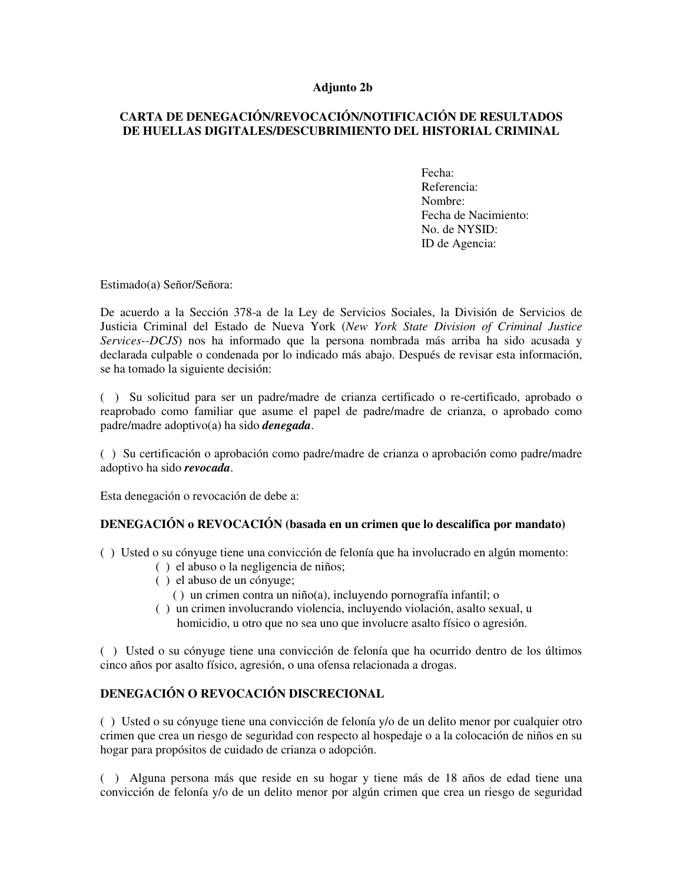#### Adjunto 2b

### CARTA DE DENEGACIÓN/REVOCACIÓN/NOTIFICACIÓN DE RESULTADOS DE HUELLAS DIGITALES/DESCUBRIMIENTO DEL HISTORIAL CRIMINAL

Fecha: Referencia: Nombre: Fecha de Nacimiento: No. de NYSID: ID de Agencia:

Estimado(a) Señor/Señora:

De acuerdo a la Sección 378-a de la Ley de Servicios Sociales, la División de Servicios de Justicia Criminal del Estado de Nueva York (New York State Division of Criminal Justice Services--DCJS) nos ha informado que la persona nombrada más arriba ha sido acusada y declarada culpable o condenada por lo indicado más abajo. Después de revisar esta información, se ha tomado la siguiente decisión:

( ) Su solicitud para ser un padre/madre de crianza certificado o re-certificado, aprobado o reaprobado como familiar que asume el papel de padre/madre de crianza, o aprobado como padre/madre adoptivo(a) ha sido *denegada*.

( ) Su certificación o aprobación como padre/madre de crianza o aprobación como padre/madre adoptivo ha sido revocada.

Esta denegación o revocación de debe a:

#### DENEGACIÓN o REVOCACIÓN (basada en un crimen que lo descalifica por mandato)

- ( ) Usted o su cónyuge tiene una convicción de felonía que ha involucrado en algún momento:
	- ( ) el abuso o la negligencia de niños;
	- ( ) el abuso de un cónyuge;
		- ( ) un crimen contra un niño(a), incluyendo pornografía infantil; o
	- ( ) un crimen involucrando violencia, incluyendo violación, asalto sexual, u homicidio, u otro que no sea uno que involucre asalto físico o agresión.

( ) Usted o su cónyuge tiene una convicción de felonía que ha ocurrido dentro de los últimos cinco años por asalto físico, agresión, o una ofensa relacionada a drogas.

# DENEGACIÓN O REVOCACIÓN DISCRECIONAL

( ) Usted o su cónyuge tiene una convicción de felonía y/o de un delito menor por cualquier otro crimen que crea un riesgo de seguridad con respecto al hospedaje o a la colocación de niños en su hogar para propósitos de cuidado de crianza o adopción.

( ) Alguna persona más que reside en su hogar y tiene más de 18 años de edad tiene una convicción de felonía y/o de un delito menor por algún crimen que crea un riesgo de seguridad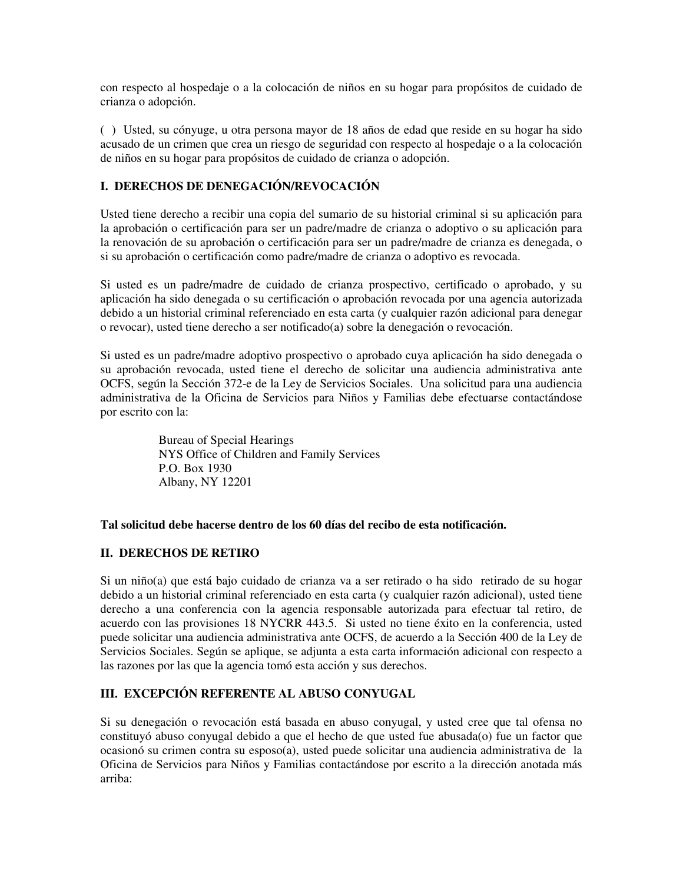con respecto al hospedaje o a la colocación de niños en su hogar para propósitos de cuidado de crianza o adopción.

( ) Usted, su cónyuge, u otra persona mayor de 18 años de edad que reside en su hogar ha sido acusado de un crimen que crea un riesgo de seguridad con respecto al hospedaje o a la colocación de niños en su hogar para propósitos de cuidado de crianza o adopción.

### I. DERECHOS DE DENEGACIÓN/REVOCACIÓN

Usted tiene derecho a recibir una copia del sumario de su historial criminal si su aplicación para la aprobación o certificación para ser un padre/madre de crianza o adoptivo o su aplicación para la renovación de su aprobación o certificación para ser un padre/madre de crianza es denegada, o si su aprobación o certificación como padre/madre de crianza o adoptivo es revocada.

Si usted es un padre/madre de cuidado de crianza prospectivo, certificado o aprobado, y su aplicación ha sido denegada o su certificación o aprobación revocada por una agencia autorizada debido a un historial criminal referenciado en esta carta (y cualquier razón adicional para denegar o revocar), usted tiene derecho a ser notificado(a) sobre la denegación o revocación.

Si usted es un padre/madre adoptivo prospectivo o aprobado cuya aplicación ha sido denegada o su aprobación revocada, usted tiene el derecho de solicitar una audiencia administrativa ante OCFS, según la Sección 372-e de la Ley de Servicios Sociales. Una solicitud para una audiencia administrativa de la Oficina de Servicios para Niños y Familias debe efectuarse contactándose por escrito con la:

> Bureau of Special Hearings NYS Office of Children and Family Services P.O. Box 1930 Albany, NY 12201

#### Tal solicitud debe hacerse dentro de los 60 días del recibo de esta notificación.

### II. DERECHOS DE RETIRO

Si un niño(a) que está bajo cuidado de crianza va a ser retirado o ha sido retirado de su hogar debido a un historial criminal referenciado en esta carta (y cualquier razón adicional), usted tiene derecho a una conferencia con la agencia responsable autorizada para efectuar tal retiro, de acuerdo con las provisiones 18 NYCRR 443.5. Si usted no tiene éxito en la conferencia, usted puede solicitar una audiencia administrativa ante OCFS, de acuerdo a la Sección 400 de la Ley de Servicios Sociales. Según se aplique, se adjunta a esta carta información adicional con respecto a las razones por las que la agencia tomó esta acción y sus derechos.

### III. EXCEPCIÓN REFERENTE AL ABUSO CONYUGAL

Si su denegación o revocación está basada en abuso conyugal, y usted cree que tal ofensa no constituyó abuso conyugal debido a que el hecho de que usted fue abusada(o) fue un factor que ocasionó su crimen contra su esposo(a), usted puede solicitar una audiencia administrativa de la Oficina de Servicios para Niños y Familias contactándose por escrito a la dirección anotada más arriba: